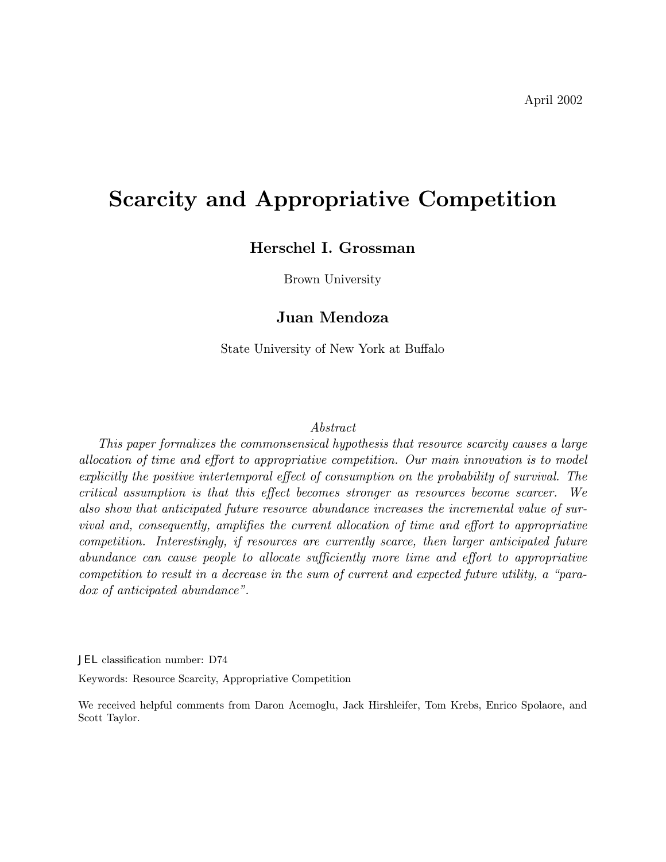# Scarcity and Appropriative Competition

## Herschel I. Grossman

Brown University

## Juan Mendoza

State University of New York at Buffalo

#### Abstract

This paper formalizes the commonsensical hypothesis that resource scarcity causes a large allocation of time and effort to appropriative competition. Our main innovation is to model explicitly the positive intertemporal effect of consumption on the probability of survival. The critical assumption is that this effect becomes stronger as resources become scarcer. We also show that anticipated future resource abundance increases the incremental value of survival and, consequently, amplifies the current allocation of time and effort to appropriative competition. Interestingly, if resources are currently scarce, then larger anticipated future abundance can cause people to allocate sufficiently more time and effort to appropriative competition to result in a decrease in the sum of current and expected future utility, a "para $dox$  of anticipated abundance".

JEL classification number: D74

Keywords: Resource Scarcity, Appropriative Competition

We received helpful comments from Daron Acemoglu, Jack Hirshleifer, Tom Krebs, Enrico Spolaore, and Scott Taylor.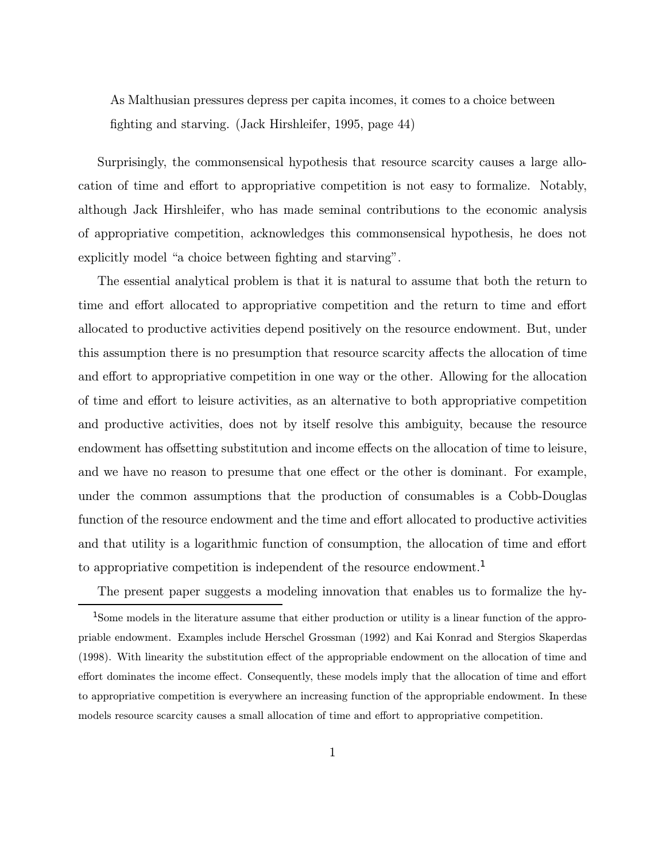As Malthusian pressures depress per capita incomes, it comes to a choice between fighting and starving. (Jack Hirshleifer, 1995, page 44)

Surprisingly, the commonsensical hypothesis that resource scarcity causes a large allocation of time and effort to appropriative competition is not easy to formalize. Notably, although Jack Hirshleifer, who has made seminal contributions to the economic analysis of appropriative competition, acknowledges this commonsensical hypothesis, he does not explicitly model "a choice between fighting and starving".

The essential analytical problem is that it is natural to assume that both the return to time and effort allocated to appropriative competition and the return to time and effort allocated to productive activities depend positively on the resource endowment. But, under this assumption there is no presumption that resource scarcity affects the allocation of time and effort to appropriative competition in one way or the other. Allowing for the allocation of time and effort to leisure activities, as an alternative to both appropriative competition and productive activities, does not by itself resolve this ambiguity, because the resource endowment has offsetting substitution and income effects on the allocation of time to leisure, and we have no reason to presume that one effect or the other is dominant. For example, under the common assumptions that the production of consumables is a Cobb-Douglas function of the resource endowment and the time and effort allocated to productive activities and that utility is a logarithmic function of consumption, the allocation of time and effort to appropriative competition is independent of the resource endowment.<sup>1</sup>

The present paper suggests a modeling innovation that enables us to formalize the hy-

<sup>&</sup>lt;sup>1</sup>Some models in the literature assume that either production or utility is a linear function of the appropriable endowment. Examples include Herschel Grossman (1992) and Kai Konrad and Stergios Skaperdas (1998). With linearity the substitution effect of the appropriable endowment on the allocation of time and effort dominates the income effect. Consequently, these models imply that the allocation of time and effort to appropriative competition is everywhere an increasing function of the appropriable endowment. In these models resource scarcity causes a small allocation of time and effort to appropriative competition.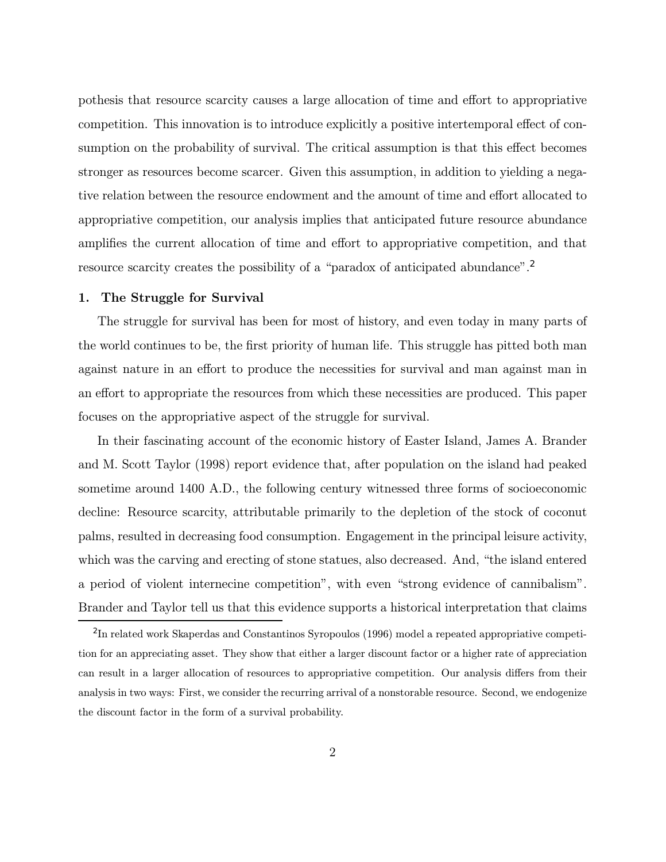pothesis that resource scarcity causes a large allocation of time and effort to appropriative competition. This innovation is to introduce explicitly a positive intertemporal effect of consumption on the probability of survival. The critical assumption is that this effect becomes stronger as resources become scarcer. Given this assumption, in addition to yielding a negative relation between the resource endowment and the amount of time and effort allocated to appropriative competition, our analysis implies that anticipated future resource abundance amplifies the current allocation of time and effort to appropriative competition, and that resource scarcity creates the possibility of a "paradox of anticipated abundance".<sup>2</sup>

#### 1. The Struggle for Survival

The struggle for survival has been for most of history, and even today in many parts of the world continues to be, the first priority of human life. This struggle has pitted both man against nature in an effort to produce the necessities for survival and man against man in an effort to appropriate the resources from which these necessities are produced. This paper focuses on the appropriative aspect of the struggle for survival.

In their fascinating account of the economic history of Easter Island, James A. Brander and M. Scott Taylor (1998) report evidence that, after population on the island had peaked sometime around 1400 A.D., the following century witnessed three forms of socioeconomic decline: Resource scarcity, attributable primarily to the depletion of the stock of coconut palms, resulted in decreasing food consumption. Engagement in the principal leisure activity, which was the carving and erecting of stone statues, also decreased. And, "the island entered a period of violent internecine competition", with even "strong evidence of cannibalism". Brander and Taylor tell us that this evidence supports a historical interpretation that claims

<sup>2</sup>In related work Skaperdas and Constantinos Syropoulos (1996) model a repeated appropriative competition for an appreciating asset. They show that either a larger discount factor or a higher rate of appreciation can result in a larger allocation of resources to appropriative competition. Our analysis differs from their analysis in two ways: First, we consider the recurring arrival of a nonstorable resource. Second, we endogenize the discount factor in the form of a survival probability.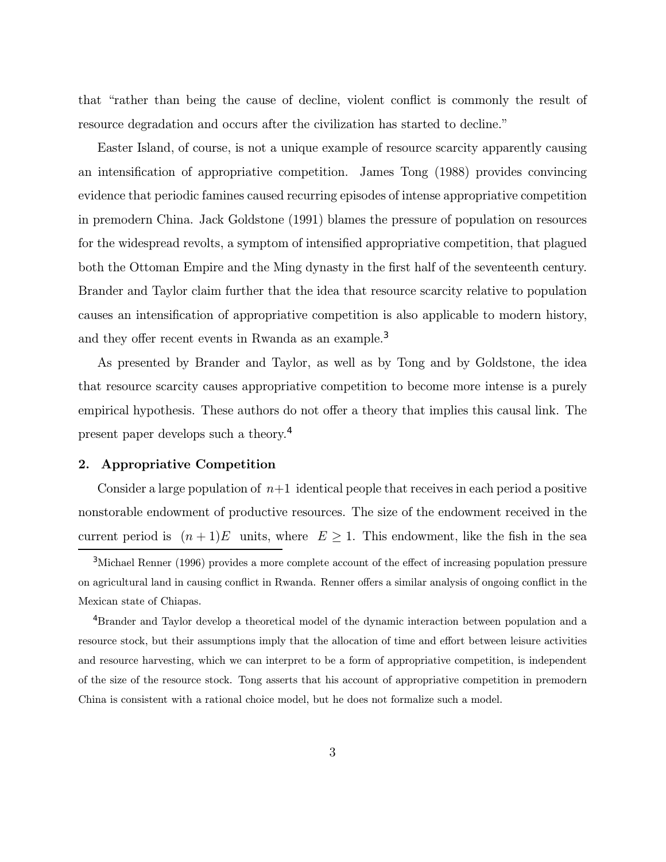that "rather than being the cause of decline, violent conflict is commonly the result of resource degradation and occurs after the civilization has started to decline."

Easter Island, of course, is not a unique example of resource scarcity apparently causing an intensification of appropriative competition. James Tong (1988) provides convincing evidence that periodic famines caused recurring episodes of intense appropriative competition in premodern China. Jack Goldstone (1991) blames the pressure of population on resources for the widespread revolts, a symptom of intensified appropriative competition, that plagued both the Ottoman Empire and the Ming dynasty in the first half of the seventeenth century. Brander and Taylor claim further that the idea that resource scarcity relative to population causes an intensification of appropriative competition is also applicable to modern history, and they offer recent events in Rwanda as an example.<sup>3</sup>

As presented by Brander and Taylor, as well as by Tong and by Goldstone, the idea that resource scarcity causes appropriative competition to become more intense is a purely empirical hypothesis. These authors do not offer a theory that implies this causal link. The present paper develops such a theory.<sup>4</sup>

### 2. Appropriative Competition

Consider a large population of  $n+1$  identical people that receives in each period a positive nonstorable endowment of productive resources. The size of the endowment received in the current period is  $(n+1)E$  units, where  $E \geq 1$ . This endowment, like the fish in the sea

<sup>4</sup>Brander and Taylor develop a theoretical model of the dynamic interaction between population and a resource stock, but their assumptions imply that the allocation of time and effort between leisure activities and resource harvesting, which we can interpret to be a form of appropriative competition, is independent of the size of the resource stock. Tong asserts that his account of appropriative competition in premodern China is consistent with a rational choice model, but he does not formalize such a model.

<sup>3</sup>Michael Renner (1996) provides a more complete account of the effect of increasing population pressure on agricultural land in causing conflict in Rwanda. Renner offers a similar analysis of ongoing conflict in the Mexican state of Chiapas.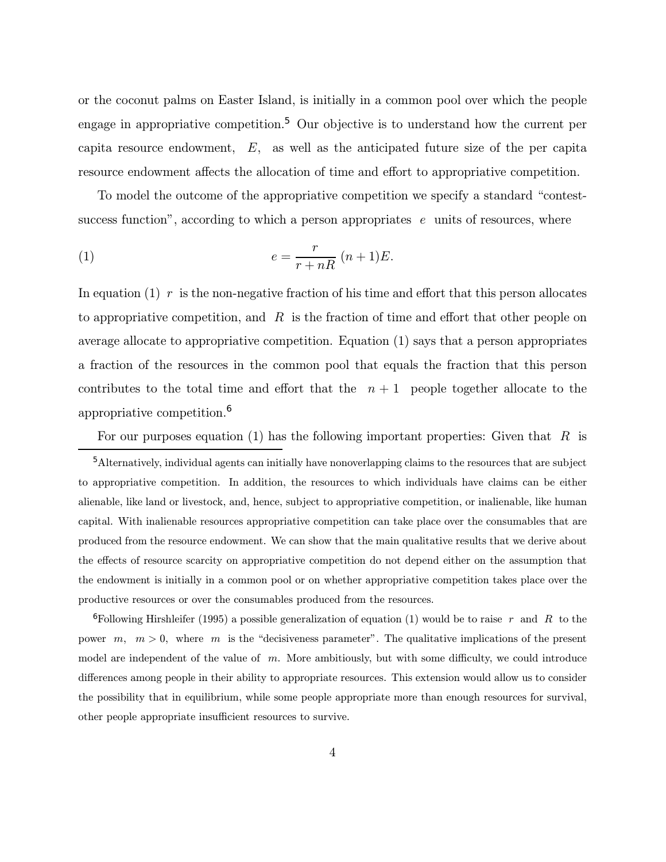or the coconut palms on Easter Island, is initially in a common pool over which the people engage in appropriative competition.<sup>5</sup> Our objective is to understand how the current per capita resource endowment,  $E$ , as well as the anticipated future size of the per capita resource endowment affects the allocation of time and effort to appropriative competition.

To model the outcome of the appropriative competition we specify a standard "contestsuccess function", according to which a person appropriates  $e$  units of resources, where

$$
(1) \qquad \qquad e = \frac{r}{r + nR} \ (n+1)E.
$$

In equation (1) r is the non-negative fraction of his time and effort that this person allocates to appropriative competition, and  $R$  is the fraction of time and effort that other people on average allocate to appropriative competition. Equation (1) says that a person appropriates a fraction of the resources in the common pool that equals the fraction that this person contributes to the total time and effort that the  $n + 1$  people together allocate to the appropriative competition.<sup>6</sup>

For our purposes equation (1) has the following important properties: Given that  $R$  is

<sup>5</sup>Alternatively, individual agents can initially have nonoverlapping claims to the resources that are subject to appropriative competition. In addition, the resources to which individuals have claims can be either alienable, like land or livestock, and, hence, subject to appropriative competition, or inalienable, like human capital. With inalienable resources appropriative competition can take place over the consumables that are produced from the resource endowment. We can show that the main qualitative results that we derive about the effects of resource scarcity on appropriative competition do not depend either on the assumption that the endowment is initially in a common pool or on whether appropriative competition takes place over the productive resources or over the consumables produced from the resources.

<sup>6</sup>Following Hirshleifer (1995) a possible generalization of equation (1) would be to raise r and R to the power  $m, m > 0$ , where m is the "decisiveness parameter". The qualitative implications of the present model are independent of the value of  $m$ . More ambitiously, but with some difficulty, we could introduce differences among people in their ability to appropriate resources. This extension would allow us to consider the possibility that in equilibrium, while some people appropriate more than enough resources for survival, other people appropriate insufficient resources to survive.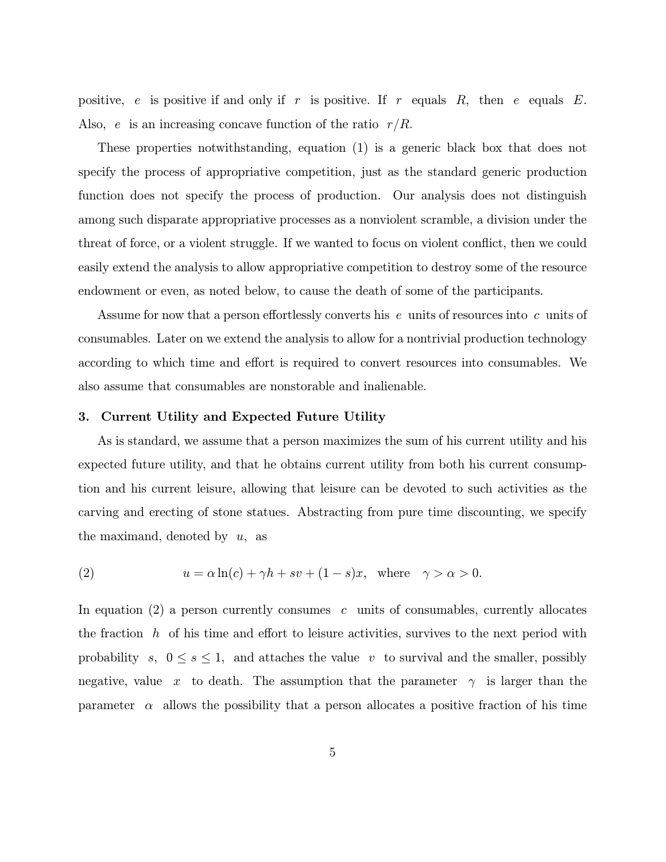positive, e is positive if and only if r is positive. If r equals  $R$ , then e equals  $E$ . Also, e is an increasing concave function of the ratio  $r/R$ .

These properties notwithstanding, equation (1) is a generic black box that does not specify the process of appropriative competition, just as the standard generic production function does not specify the process of production. Our analysis does not distinguish among such disparate appropriative processes as a nonviolent scramble, a division under the threat of force, or a violent struggle. If we wanted to focus on violent conflict, then we could easily extend the analysis to allow appropriative competition to destroy some of the resource endowment or even, as noted below, to cause the death of some of the participants.

Assume for now that a person effortlessly converts his e units of resources into c units of consumables. Later on we extend the analysis to allow for a nontrivial production technology according to which time and effort is required to convert resources into consumables. We also assume that consumables are nonstorable and inalienable.

#### 3. Current Utility and Expected Future Utility

As is standard, we assume that a person maximizes the sum of his current utility and his expected future utility, and that he obtains current utility from both his current consumption and his current leisure, allowing that leisure can be devoted to such activities as the carving and erecting of stone statues. Abstracting from pure time discounting, we specify the maximand, denoted by  $u$ , as

(2) 
$$
u = \alpha \ln(c) + \gamma h + sv + (1 - s)x, \text{ where } \gamma > \alpha > 0.
$$

In equation  $(2)$  a person currently consumes c units of consumables, currently allocates the fraction h of his time and effort to leisure activities, survives to the next period with probability s,  $0 \leq s \leq 1$ , and attaches the value v to survival and the smaller, possibly negative, value x to death. The assumption that the parameter  $\gamma$  is larger than the parameter  $\alpha$  allows the possibility that a person allocates a positive fraction of his time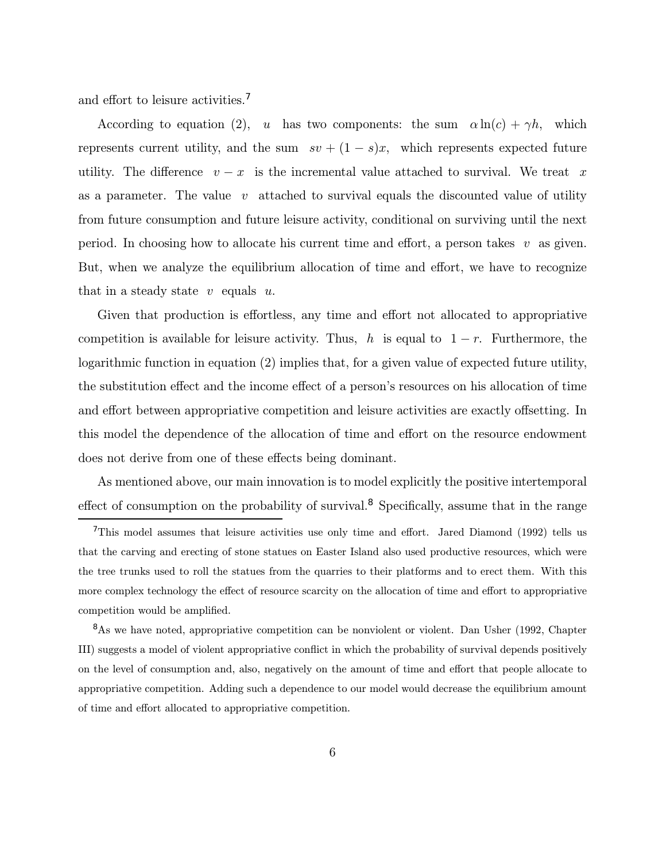and effort to leisure activities.<sup>7</sup>

According to equation (2), u has two components: the sum  $\alpha \ln(c) + \gamma h$ , which represents current utility, and the sum  $sv + (1 - s)x$ , which represents expected future utility. The difference  $v - x$  is the incremental value attached to survival. We treat x as a parameter. The value  $v$  attached to survival equals the discounted value of utility from future consumption and future leisure activity, conditional on surviving until the next period. In choosing how to allocate his current time and effort, a person takes v as given. But, when we analyze the equilibrium allocation of time and effort, we have to recognize that in a steady state  $v$  equals  $u$ .

Given that production is effortless, any time and effort not allocated to appropriative competition is available for leisure activity. Thus, h is equal to  $1 - r$ . Furthermore, the logarithmic function in equation (2) implies that, for a given value of expected future utility, the substitution effect and the income effect of a personís resources on his allocation of time and effort between appropriative competition and leisure activities are exactly offsetting. In this model the dependence of the allocation of time and effort on the resource endowment does not derive from one of these effects being dominant.

As mentioned above, our main innovation is to model explicitly the positive intertemporal effect of consumption on the probability of survival.<sup>8</sup> Specifically, assume that in the range

<sup>&</sup>lt;sup>7</sup>This model assumes that leisure activities use only time and effort. Jared Diamond (1992) tells us that the carving and erecting of stone statues on Easter Island also used productive resources, which were the tree trunks used to roll the statues from the quarries to their platforms and to erect them. With this more complex technology the effect of resource scarcity on the allocation of time and effort to appropriative competition would be amplified.

<sup>&</sup>lt;sup>8</sup>As we have noted, appropriative competition can be nonviolent or violent. Dan Usher (1992, Chapter III) suggests a model of violent appropriative conflict in which the probability of survival depends positively on the level of consumption and, also, negatively on the amount of time and effort that people allocate to appropriative competition. Adding such a dependence to our model would decrease the equilibrium amount of time and effort allocated to appropriative competition.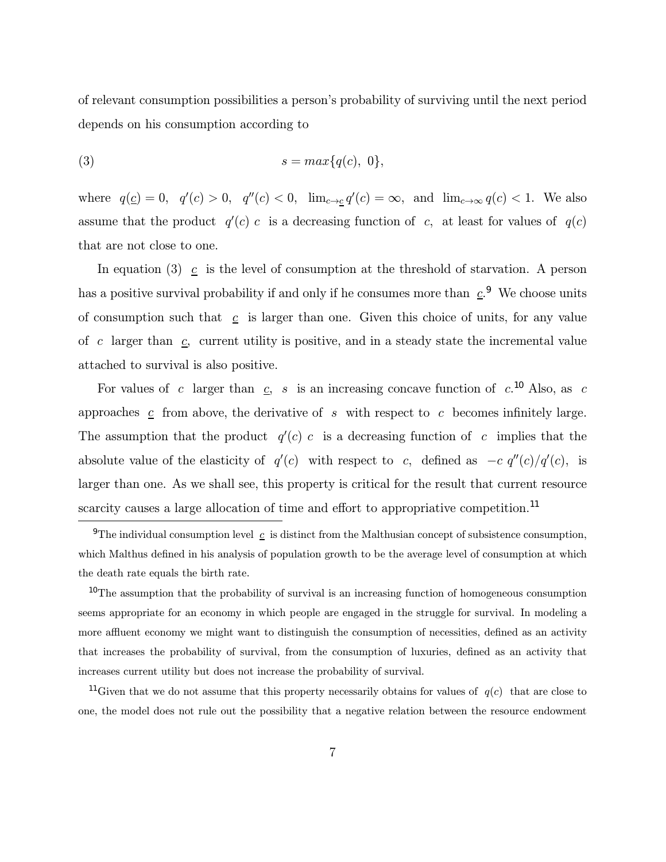of relevant consumption possibilities a personís probability of surviving until the next period depends on his consumption according to

$$
(3) \t s = max{q(c), 0},
$$

where  $q(\underline{c}) = 0$ ,  $q'(c) > 0$ ,  $q''(c) < 0$ ,  $\lim_{c \to \underline{c}} q'(c) = \infty$ , and  $\lim_{c \to \infty} q(c) < 1$ . We also assume that the product  $q'(c)$  c is a decreasing function of c, at least for values of  $q(c)$ that are not close to one.

In equation (3)  $\mathfrak{c}$  is the level of consumption at the threshold of starvation. A person has a positive survival probability if and only if he consumes more than  $c^2$ . We choose units of consumption such that  $c$  is larger than one. Given this choice of units, for any value of c larger than  $c$ , current utility is positive, and in a steady state the incremental value attached to survival is also positive.

For values of c larger than  $c$ , s is an increasing concave function of  $c$ .<sup>10</sup> Also, as c approaches  $c$  from above, the derivative of s with respect to c becomes infinitely large. The assumption that the product  $q'(c)$  c is a decreasing function of c implies that the absolute value of the elasticity of  $q'(c)$  with respect to c, defined as  $-c q''(c)/q'(c)$ , is larger than one. As we shall see, this property is critical for the result that current resource scarcity causes a large allocation of time and effort to appropriative competition.<sup>11</sup>

<sup>&</sup>lt;sup>9</sup>The individual consumption level  $c$  is distinct from the Malthusian concept of subsistence consumption, which Malthus defined in his analysis of population growth to be the average level of consumption at which the death rate equals the birth rate.

<sup>&</sup>lt;sup>10</sup>The assumption that the probability of survival is an increasing function of homogeneous consumption seems appropriate for an economy in which people are engaged in the struggle for survival. In modeling a more affluent economy we might want to distinguish the consumption of necessities, defined as an activity that increases the probability of survival, from the consumption of luxuries, defined as an activity that increases current utility but does not increase the probability of survival.

<sup>&</sup>lt;sup>11</sup>Given that we do not assume that this property necessarily obtains for values of  $q(c)$  that are close to one, the model does not rule out the possibility that a negative relation between the resource endowment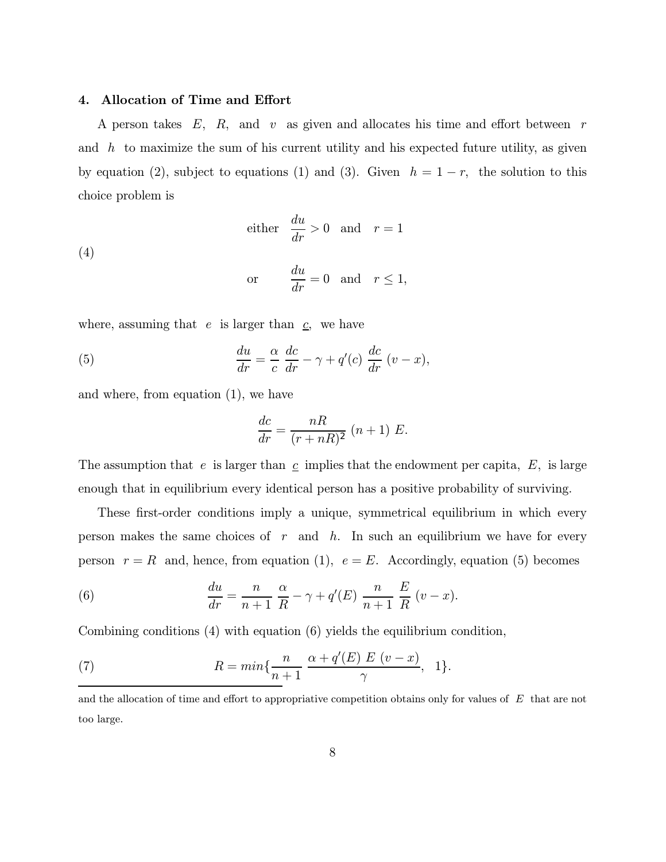#### 4. Allocation of Time and Effort

A person takes  $E$ ,  $R$ , and  $v$  as given and allocates his time and effort between  $r$ and  $h$  to maximize the sum of his current utility and his expected future utility, as given by equation (2), subject to equations (1) and (3). Given  $h = 1 - r$ , the solution to this choice problem is

(4)   
 either 
$$
\frac{du}{dr} > 0
$$
 and  $r = 1$   
or  $\frac{du}{dr} = 0$  and  $r \le 1$ ,

where, assuming that  $e$  is larger than  $c$ , we have

(5) 
$$
\frac{du}{dr} = \frac{\alpha}{c} \frac{dc}{dr} - \gamma + q'(c) \frac{dc}{dr} (v - x),
$$

and where, from equation (1), we have

$$
\frac{dc}{dr} = \frac{nR}{(r+nR)^2} (n+1) E.
$$

The assumption that e is larger than  $c$  implies that the endowment per capita,  $E$ , is large enough that in equilibrium every identical person has a positive probability of surviving.

These first-order conditions imply a unique, symmetrical equilibrium in which every person makes the same choices of  $r$  and  $h$ . In such an equilibrium we have for every person  $r = R$  and, hence, from equation (1),  $e = E$ . Accordingly, equation (5) becomes

(6) 
$$
\frac{du}{dr} = \frac{n}{n+1} \frac{\alpha}{R} - \gamma + q'(E) \frac{n}{n+1} \frac{E}{R} (v - x).
$$

Combining conditions (4) with equation (6) yields the equilibrium condition,

(7) 
$$
R = min\{\frac{n}{n+1} \frac{\alpha + q'(E) E (v-x)}{\gamma}, 1\}.
$$

and the allocation of time and effort to appropriative competition obtains only for values of  $E$  that are not too large.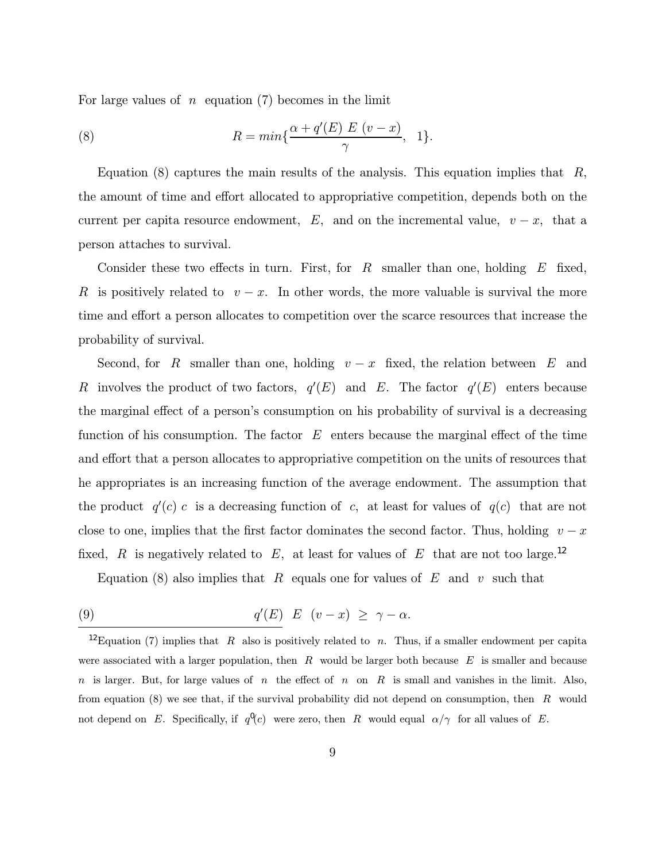For large values of  $n \neq$  equation (7) becomes in the limit

(8) 
$$
R = min\{\frac{\alpha + q'(E) E (v - x)}{\gamma}, 1\}.
$$

Equation (8) captures the main results of the analysis. This equation implies that  $R$ , the amount of time and effort allocated to appropriative competition, depends both on the current per capita resource endowment, E, and on the incremental value,  $v - x$ , that a person attaches to survival.

Consider these two effects in turn. First, for  $R$  smaller than one, holding  $E$  fixed, R is positively related to  $v - x$ . In other words, the more valuable is survival the more time and effort a person allocates to competition over the scarce resources that increase the probability of survival.

Second, for R smaller than one, holding  $v - x$  fixed, the relation between E and R involves the product of two factors,  $q'(E)$  and E. The factor  $q'(E)$  enters because the marginal effect of a person's consumption on his probability of survival is a decreasing function of his consumption. The factor  $E$  enters because the marginal effect of the time and effort that a person allocates to appropriative competition on the units of resources that he appropriates is an increasing function of the average endowment. The assumption that the product  $q'(c)$  c is a decreasing function of c, at least for values of  $q(c)$  that are not close to one, implies that the first factor dominates the second factor. Thus, holding  $v - x$ fixed, R is negatively related to E, at least for values of E that are not too large.<sup>12</sup>

Equation (8) also implies that R equals one for values of E and v such that

(9) 
$$
q'(E) E (v-x) \geq \gamma - \alpha.
$$

<sup>&</sup>lt;sup>12</sup>Equation (7) implies that R also is positively related to n. Thus, if a smaller endowment per capita were associated with a larger population, then  $R$  would be larger both because  $E$  is smaller and because n is larger. But, for large values of n the effect of n on R is small and vanishes in the limit. Also, from equation  $(8)$  we see that, if the survival probability did not depend on consumption, then  $R$  would not depend on E. Specifically, if  $q^0(c)$  were zero, then R would equal  $\alpha/\gamma$  for all values of E.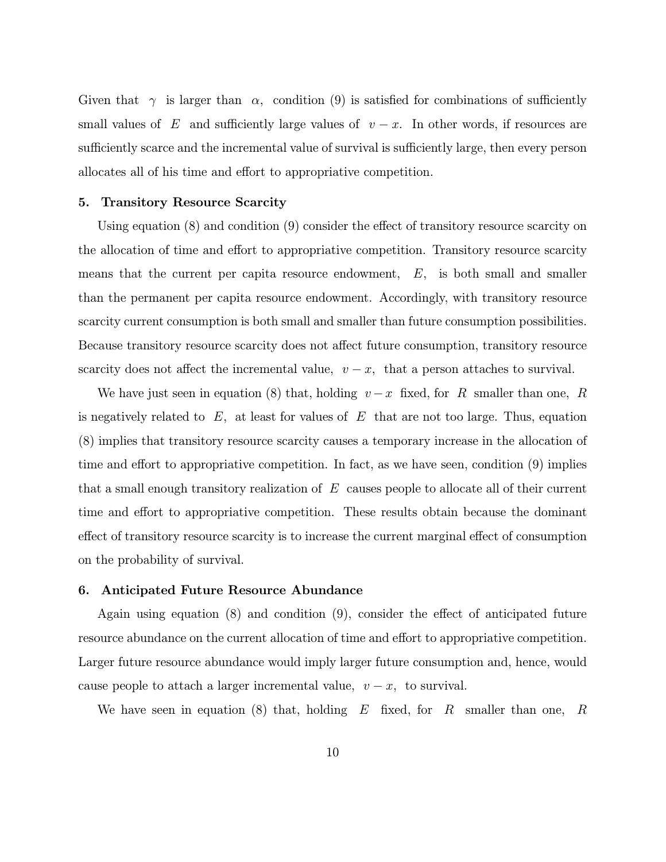Given that  $\gamma$  is larger than  $\alpha$ , condition (9) is satisfied for combinations of sufficiently small values of E and sufficiently large values of  $v - x$ . In other words, if resources are sufficiently scarce and the incremental value of survival is sufficiently large, then every person allocates all of his time and effort to appropriative competition.

#### 5. Transitory Resource Scarcity

Using equation (8) and condition (9) consider the effect of transitory resource scarcity on the allocation of time and effort to appropriative competition. Transitory resource scarcity means that the current per capita resource endowment,  $E$ , is both small and smaller than the permanent per capita resource endowment. Accordingly, with transitory resource scarcity current consumption is both small and smaller than future consumption possibilities. Because transitory resource scarcity does not affect future consumption, transitory resource scarcity does not affect the incremental value,  $v - x$ , that a person attaches to survival.

We have just seen in equation (8) that, holding  $v - x$  fixed, for R smaller than one, R is negatively related to  $E$ , at least for values of  $E$  that are not too large. Thus, equation (8) implies that transitory resource scarcity causes a temporary increase in the allocation of time and effort to appropriative competition. In fact, as we have seen, condition (9) implies that a small enough transitory realization of  $E$  causes people to allocate all of their current time and effort to appropriative competition. These results obtain because the dominant effect of transitory resource scarcity is to increase the current marginal effect of consumption on the probability of survival.

#### 6. Anticipated Future Resource Abundance

Again using equation (8) and condition (9), consider the effect of anticipated future resource abundance on the current allocation of time and effort to appropriative competition. Larger future resource abundance would imply larger future consumption and, hence, would cause people to attach a larger incremental value,  $v - x$ , to survival.

We have seen in equation (8) that, holding  $E$  fixed, for  $R$  smaller than one,  $R$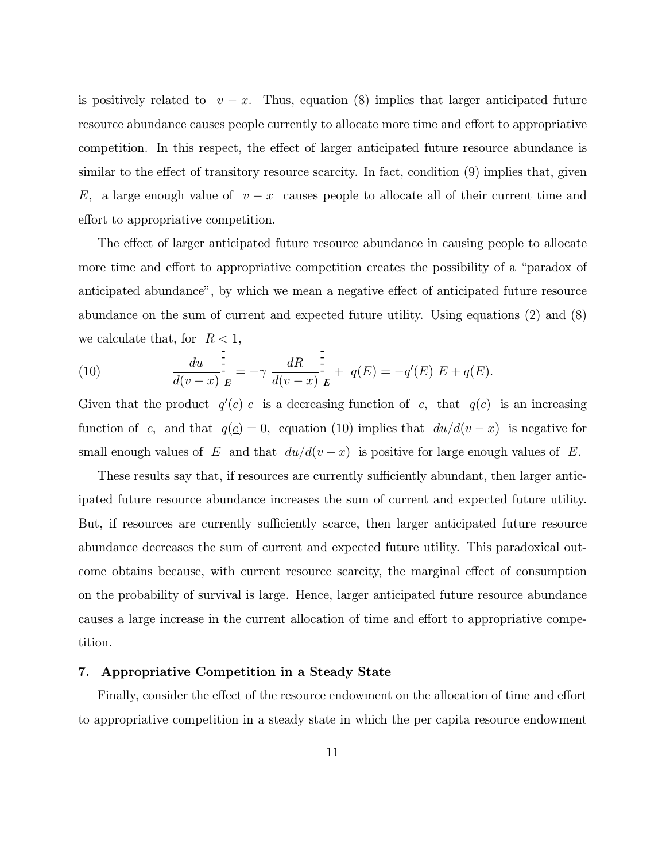is positively related to  $v - x$ . Thus, equation (8) implies that larger anticipated future resource abundance causes people currently to allocate more time and effort to appropriative competition. In this respect, the effect of larger anticipated future resource abundance is similar to the effect of transitory resource scarcity. In fact, condition (9) implies that, given E, a large enough value of  $v - x$  causes people to allocate all of their current time and effort to appropriative competition.

The effect of larger anticipated future resource abundance in causing people to allocate more time and effort to appropriative competition creates the possibility of a "paradox of anticipated abundance", by which we mean a negative effect of anticipated future resource abundance on the sum of current and expected future utility. Using equations (2) and (8) we calculate that, for  $R < 1$ ,

(10) 
$$
\frac{du}{d(v-x)}\Big|_E^{\frac{1}{2}} = -\gamma \frac{dR}{d(v-x)}\Big|_E^{\frac{1}{2}} + q(E) = -q'(E) E + q(E).
$$

Given that the product  $q'(c)$  c is a decreasing function of c, that  $q(c)$  is an increasing function of c, and that  $q(\underline{c})=0$ , equation (10) implies that  $du/d(v - x)$  is negative for small enough values of E and that  $du/d(v-x)$  is positive for large enough values of E.

These results say that, if resources are currently sufficiently abundant, then larger anticipated future resource abundance increases the sum of current and expected future utility. But, if resources are currently sufficiently scarce, then larger anticipated future resource abundance decreases the sum of current and expected future utility. This paradoxical outcome obtains because, with current resource scarcity, the marginal effect of consumption on the probability of survival is large. Hence, larger anticipated future resource abundance causes a large increase in the current allocation of time and effort to appropriative competition.

#### 7. Appropriative Competition in a Steady State

Finally, consider the effect of the resource endowment on the allocation of time and effort to appropriative competition in a steady state in which the per capita resource endowment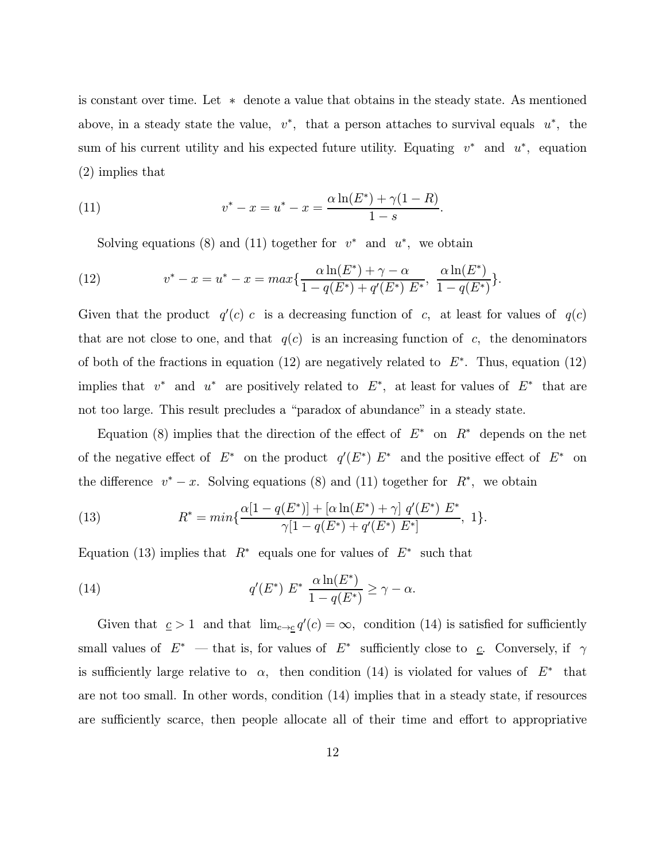is constant over time. Let ∗ denote a value that obtains in the steady state. As mentioned above, in a steady state the value,  $v^*$ , that a person attaches to survival equals  $u^*$ , the sum of his current utility and his expected future utility. Equating  $v^*$  and  $u^*$ , equation (2) implies that

(11) 
$$
v^* - x = u^* - x = \frac{\alpha \ln(E^*) + \gamma (1 - R)}{1 - s}.
$$

Solving equations (8) and (11) together for  $v^*$  and  $u^*$ , we obtain

(12) 
$$
v^* - x = u^* - x = max\left\{\frac{\alpha \ln(E^*) + \gamma - \alpha}{1 - q(E^*) + q'(E^*) E^*}, \frac{\alpha \ln(E^*)}{1 - q(E^*)}\right\}.
$$

Given that the product  $q'(c)$  c is a decreasing function of c, at least for values of  $q(c)$ that are not close to one, and that  $q(c)$  is an increasing function of c, the denominators of both of the fractions in equation (12) are negatively related to  $E^*$ . Thus, equation (12) implies that  $v^*$  and  $u^*$  are positively related to  $E^*$ , at least for values of  $E^*$  that are not too large. This result precludes a "paradox of abundance" in a steady state.

Equation (8) implies that the direction of the effect of  $E^*$  on  $R^*$  depends on the net of the negative effect of  $E^*$  on the product  $q'(E^*)E^*$  and the positive effect of  $E^*$  on the difference  $v^* - x$ . Solving equations (8) and (11) together for  $R^*$ , we obtain

(13) 
$$
R^* = min\{\frac{\alpha[1-q(E^*)]+[\alpha\ln(E^*)+\gamma]q'(E^*)E^*}{\gamma[1-q(E^*)+q'(E^*)E^*]}, 1\}.
$$

Equation (13) implies that  $R^*$  equals one for values of  $E^*$  such that

(14) 
$$
q'(E^*) E^* \frac{\alpha \ln(E^*)}{1 - q(E^*)} \ge \gamma - \alpha.
$$

Given that  $c > 1$  and that  $\lim_{c \to c} q'(c) = \infty$ , condition (14) is satisfied for sufficiently small values of  $E^*$  – that is, for values of  $E^*$  sufficiently close to  $c$ . Conversely, if  $\gamma$ is sufficiently large relative to  $\alpha$ , then condition (14) is violated for values of  $E^*$  that are not too small. In other words, condition (14) implies that in a steady state, if resources are sufficiently scarce, then people allocate all of their time and effort to appropriative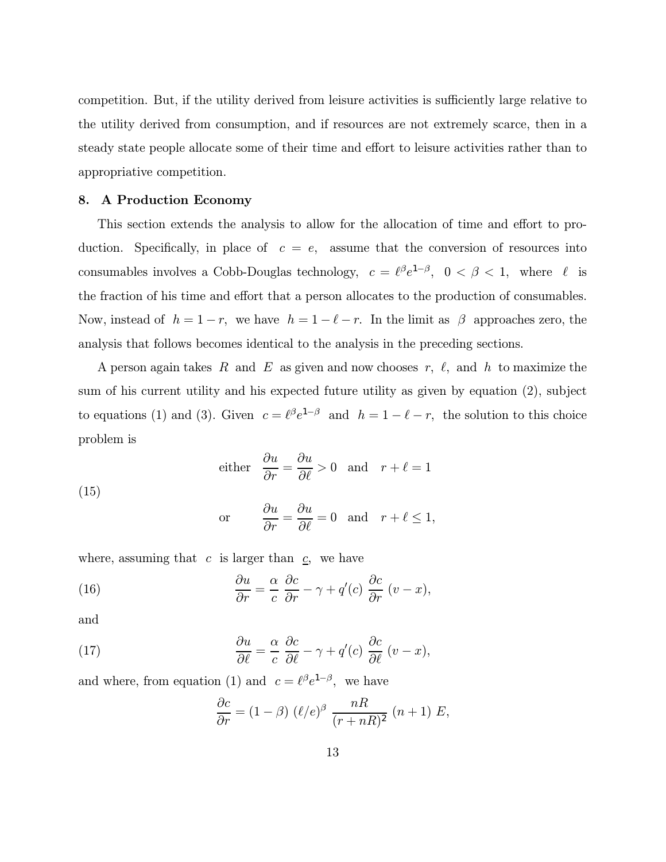competition. But, if the utility derived from leisure activities is sufficiently large relative to the utility derived from consumption, and if resources are not extremely scarce, then in a steady state people allocate some of their time and effort to leisure activities rather than to appropriative competition.

#### 8. A Production Economy

This section extends the analysis to allow for the allocation of time and effort to production. Specifically, in place of  $c = e$ , assume that the conversion of resources into consumables involves a Cobb-Douglas technology,  $c = \ell^{\beta}e^{1-\beta}$ ,  $0 < \beta < 1$ , where  $\ell$  is the fraction of his time and effort that a person allocates to the production of consumables. Now, instead of  $h = 1 - r$ , we have  $h = 1 - \ell - r$ . In the limit as  $\beta$  approaches zero, the analysis that follows becomes identical to the analysis in the preceding sections.

A person again takes R and E as given and now chooses r,  $\ell$ , and h to maximize the sum of his current utility and his expected future utility as given by equation (2), subject to equations (1) and (3). Given  $c = \ell^{\beta} e^{1-\beta}$  and  $h = 1 - \ell - r$ , the solution to this choice problem is

either 
$$
\frac{\partial u}{\partial r} = \frac{\partial u}{\partial \ell} > 0
$$
 and  $r + \ell = 1$ 

(15)

or 
$$
\frac{\partial u}{\partial r} = \frac{\partial u}{\partial \ell} = 0
$$
 and  $r + \ell \le 1$ ,

where, assuming that  $c$  is larger than  $c$ , we have

(16) 
$$
\frac{\partial u}{\partial r} = \frac{\alpha}{c} \frac{\partial c}{\partial r} - \gamma + q'(c) \frac{\partial c}{\partial r} (v - x),
$$

and

(17) 
$$
\frac{\partial u}{\partial \ell} = \frac{\alpha}{c} \frac{\partial c}{\partial \ell} - \gamma + q'(c) \frac{\partial c}{\partial \ell} (v - x),
$$

and where, from equation (1) and  $c = \ell^{\beta}e^{1-\beta}$ , we have

$$
\frac{\partial c}{\partial r} = (1 - \beta) \ (\ell/e)^{\beta} \ \frac{nR}{(r + nR)^2} \ (n+1) \ E,
$$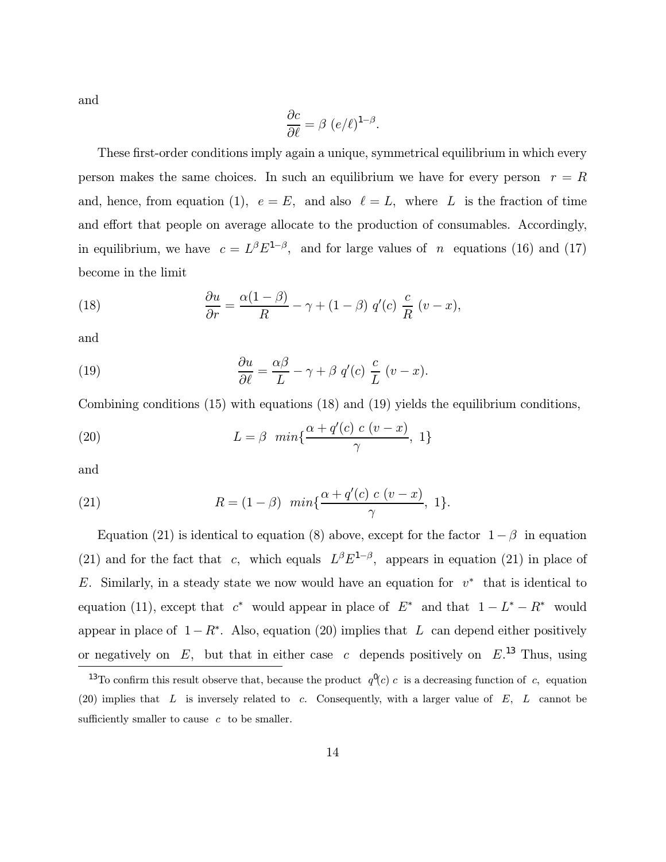and

$$
\frac{\partial c}{\partial \ell} = \beta \ (e/\ell)^{1-\beta}.
$$

These first-order conditions imply again a unique, symmetrical equilibrium in which every person makes the same choices. In such an equilibrium we have for every person  $r = R$ and, hence, from equation (1),  $e = E$ , and also  $\ell = L$ , where L is the fraction of time and effort that people on average allocate to the production of consumables. Accordingly, in equilibrium, we have  $c = L^{\beta} E^{1-\beta}$ , and for large values of n equations (16) and (17) become in the limit

(18) 
$$
\frac{\partial u}{\partial r} = \frac{\alpha(1-\beta)}{R} - \gamma + (1-\beta) q'(c) \frac{c}{R} (v-x),
$$

and

(19) 
$$
\frac{\partial u}{\partial \ell} = \frac{\alpha \beta}{L} - \gamma + \beta q'(c) \frac{c}{L} (v - x).
$$

Combining conditions (15) with equations (18) and (19) yields the equilibrium conditions,

(20) 
$$
L = \beta \ \min\{\frac{\alpha + q'(c) \ c \ (v - x)}{\gamma}, \ 1\}
$$

and

(21) 
$$
R = (1 - \beta) \min{\frac{\alpha + q'(c) c (v - x)}{\gamma}, 1}.
$$

Equation (21) is identical to equation (8) above, except for the factor  $1 - \beta$  in equation (21) and for the fact that c, which equals  $L^{\beta}E^{1-\beta}$ , appears in equation (21) in place of E. Similarly, in a steady state we now would have an equation for  $v^*$  that is identical to equation (11), except that  $c^*$  would appear in place of  $E^*$  and that  $1 - L^* - R^*$  would appear in place of  $1-R^*$ . Also, equation (20) implies that L can depend either positively or negatively on  $E$ , but that in either case c depends positively on  $E^{13}$ . Thus, using

<sup>&</sup>lt;sup>13</sup>To confirm this result observe that, because the product  $q^0(c)$  c is a decreasing function of c, equation (20) implies that  $L$  is inversely related to c. Consequently, with a larger value of  $E$ ,  $L$  cannot be sufficiently smaller to cause  $c$  to be smaller.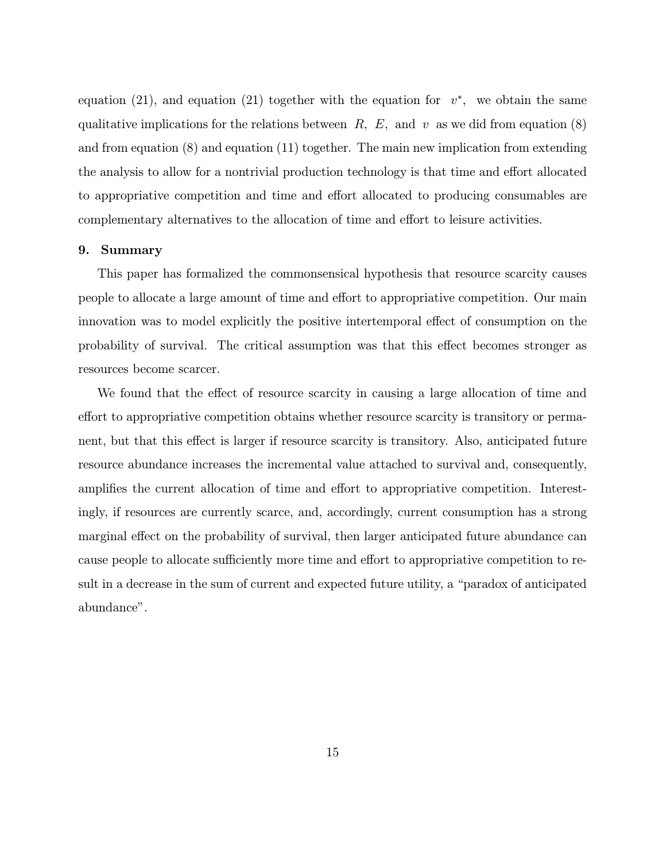equation (21), and equation (21) together with the equation for  $v^*$ , we obtain the same qualitative implications for the relations between  $R, E,$  and  $v$  as we did from equation (8) and from equation (8) and equation (11) together. The main new implication from extending the analysis to allow for a nontrivial production technology is that time and effort allocated to appropriative competition and time and effort allocated to producing consumables are complementary alternatives to the allocation of time and effort to leisure activities.

#### 9. Summary

This paper has formalized the commonsensical hypothesis that resource scarcity causes people to allocate a large amount of time and effort to appropriative competition. Our main innovation was to model explicitly the positive intertemporal effect of consumption on the probability of survival. The critical assumption was that this effect becomes stronger as resources become scarcer.

We found that the effect of resource scarcity in causing a large allocation of time and effort to appropriative competition obtains whether resource scarcity is transitory or permanent, but that this effect is larger if resource scarcity is transitory. Also, anticipated future resource abundance increases the incremental value attached to survival and, consequently, amplifies the current allocation of time and effort to appropriative competition. Interestingly, if resources are currently scarce, and, accordingly, current consumption has a strong marginal effect on the probability of survival, then larger anticipated future abundance can cause people to allocate sufficiently more time and effort to appropriative competition to result in a decrease in the sum of current and expected future utility, a "paradox of anticipated abundance".